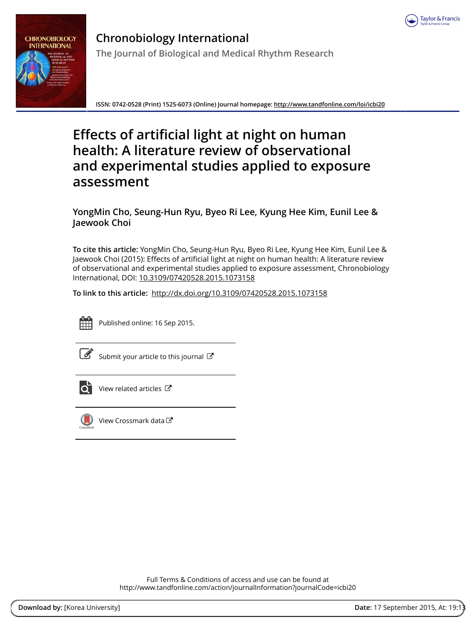



**Chronobiology International The Journal of Biological and Medical Rhythm Research**

**ISSN: 0742-0528 (Print) 1525-6073 (Online) Journal homepage:<http://www.tandfonline.com/loi/icbi20>**

# **Effects of artificial light at night on human health: A literature review of observational and experimental studies applied to exposure assessment**

### **YongMin Cho, Seung-Hun Ryu, Byeo Ri Lee, Kyung Hee Kim, Eunil Lee & Jaewook Choi**

**To cite this article:** YongMin Cho, Seung-Hun Ryu, Byeo Ri Lee, Kyung Hee Kim, Eunil Lee & Jaewook Choi (2015): Effects of artificial light at night on human health: A literature review of observational and experimental studies applied to exposure assessment, Chronobiology International, DOI: [10.3109/07420528.2015.1073158](http://www.tandfonline.com/action/showCitFormats?doi=10.3109/07420528.2015.1073158)

**To link to this article:** <http://dx.doi.org/10.3109/07420528.2015.1073158>



Published online: 16 Sep 2015.

[Submit your article to this journal](http://www.tandfonline.com/action/authorSubmission?journalCode=icbi20&page=instructions)  $\mathbb{Z}$ 



 $\overline{Q}$  [View related articles](http://www.tandfonline.com/doi/mlt/10.3109/07420528.2015.1073158)  $\mathbb{Z}$ 



[View Crossmark data](http://crossmark.crossref.org/dialog/?doi=10.3109/07420528.2015.1073158&domain=pdf&date_stamp=2015-09-16)

Full Terms & Conditions of access and use can be found at <http://www.tandfonline.com/action/journalInformation?journalCode=icbi20>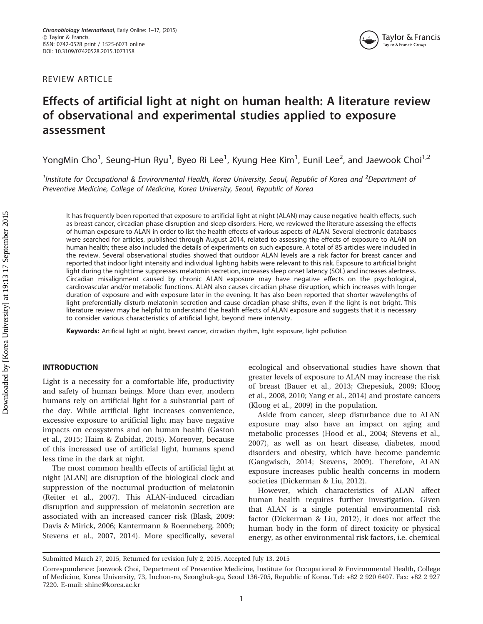REVIEW ARTICLE



## Effects of artificial light at night on human health: A literature review of observational and experimental studies applied to exposure assessment

YongMin Cho<sup>1</sup>, Seung-Hun Ryu<sup>1</sup>, Byeo Ri Lee<sup>1</sup>, Kyung Hee Kim<sup>1</sup>, Eunil Lee<sup>2</sup>, and Jaewook Choi<sup>1,2</sup>

<sup>1</sup>Institute for Occupational & Environmental Health, Korea University, Seoul, Republic of Korea and <sup>2</sup>Department of Preventive Medicine, College of Medicine, Korea University, Seoul, Republic of Korea

It has frequently been reported that exposure to artificial light at night (ALAN) may cause negative health effects, such as breast cancer, circadian phase disruption and sleep disorders. Here, we reviewed the literature assessing the effects of human exposure to ALAN in order to list the health effects of various aspects of ALAN. Several electronic databases were searched for articles, published through August 2014, related to assessing the effects of exposure to ALAN on human health; these also included the details of experiments on such exposure. A total of 85 articles were included in the review. Several observational studies showed that outdoor ALAN levels are a risk factor for breast cancer and reported that indoor light intensity and individual lighting habits were relevant to this risk. Exposure to artificial bright light during the nighttime suppresses melatonin secretion, increases sleep onset latency (SOL) and increases alertness. Circadian misalignment caused by chronic ALAN exposure may have negative effects on the psychological, cardiovascular and/or metabolic functions. ALAN also causes circadian phase disruption, which increases with longer duration of exposure and with exposure later in the evening. It has also been reported that shorter wavelengths of light preferentially disturb melatonin secretion and cause circadian phase shifts, even if the light is not bright. This literature review may be helpful to understand the health effects of ALAN exposure and suggests that it is necessary to consider various characteristics of artificial light, beyond mere intensity.

Keywords: Artificial light at night, breast cancer, circadian rhythm, light exposure, light pollution

### INTRODUCTION

Light is a necessity for a comfortable life, productivity and safety of human beings. More than ever, modern humans rely on artificial light for a substantial part of the day. While artificial light increases convenience, excessive exposure to artificial light may have negative impacts on ecosystems and on human health (Gaston et al., [2015](#page-15-0); Haim & Zubidat, [2015](#page-16-0)). Moreover, because of this increased use of artificial light, humans spend less time in the dark at night.

The most common health effects of artificial light at night (ALAN) are disruption of the biological clock and suppression of the nocturnal production of melatonin (Reiter et al., [2007\)](#page-16-0). This ALAN-induced circadian disruption and suppression of melatonin secretion are associated with an increased cancer risk (Blask, [2009](#page-15-0); Davis & Mirick, [2006;](#page-15-0) Kantermann & Roenneberg, [2009](#page-16-0); Stevens et al., [2007](#page-17-0), [2014](#page-17-0)). More specifically, several

ecological and observational studies have shown that greater levels of exposure to ALAN may increase the risk of breast (Bauer et al., [2013](#page-15-0); Chepesiuk, [2009;](#page-15-0) Kloog et al., [2008, 2010](#page-16-0); Yang et al., [2014](#page-17-0)) and prostate cancers (Kloog et al., [2009](#page-16-0)) in the population.

Aside from cancer, sleep disturbance due to ALAN exposure may also have an impact on aging and metabolic processes (Hood et al., [2004;](#page-16-0) Stevens et al., [2007\)](#page-17-0), as well as on heart disease, diabetes, mood disorders and obesity, which have become pandemic (Gangwisch, [2014](#page-15-0); Stevens, [2009](#page-17-0)). Therefore, ALAN exposure increases public health concerns in modern societies (Dickerman & Liu, [2012\)](#page-15-0).

However, which characteristics of ALAN affect human health requires further investigation. Given that ALAN is a single potential environmental risk factor (Dickerman & Liu, [2012](#page-15-0)), it does not affect the human body in the form of direct toxicity or physical energy, as other environmental risk factors, i.e. chemical

Submitted March 27, 2015, Returned for revision July 2, 2015, Accepted July 13, 2015

Correspondence: Jaewook Choi, Department of Preventive Medicine, Institute for Occupational & Environmental Health, College of Medicine, Korea University, 73, Inchon-ro, Seongbuk-gu, Seoul 136-705, Republic of Korea. Tel: +82 2 920 6407. Fax: +82 2 927 7220. E-mail: shine@korea.ac.kr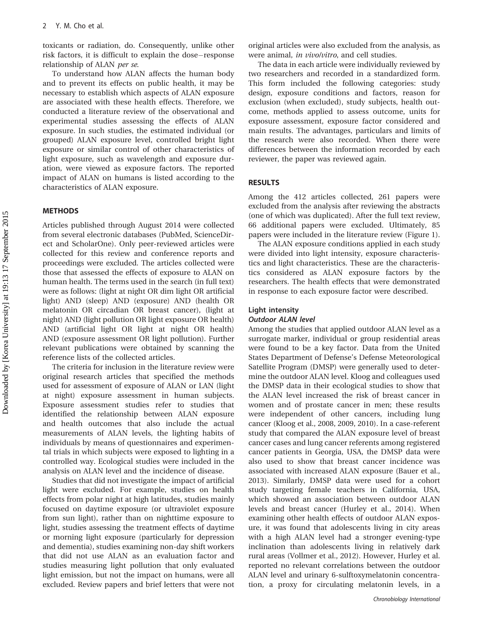toxicants or radiation, do. Consequently, unlike other risk factors, it is difficult to explain the dose-response relationship of ALAN per se.

To understand how ALAN affects the human body and to prevent its effects on public health, it may be necessary to establish which aspects of ALAN exposure are associated with these health effects. Therefore, we conducted a literature review of the observational and experimental studies assessing the effects of ALAN exposure. In such studies, the estimated individual (or grouped) ALAN exposure level, controlled bright light exposure or similar control of other characteristics of light exposure, such as wavelength and exposure duration, were viewed as exposure factors. The reported impact of ALAN on humans is listed according to the characteristics of ALAN exposure.

### **METHODS**

Articles published through August 2014 were collected from several electronic databases (PubMed, ScienceDirect and ScholarOne). Only peer-reviewed articles were collected for this review and conference reports and proceedings were excluded. The articles collected were those that assessed the effects of exposure to ALAN on human health. The terms used in the search (in full text) were as follows: (light at night OR dim light OR artificial light) AND (sleep) AND (exposure) AND (health OR melatonin OR circadian OR breast cancer), (light at night) AND (light pollution OR light exposure OR health) AND (artificial light OR light at night OR health) AND (exposure assessment OR light pollution). Further relevant publications were obtained by scanning the reference lists of the collected articles.

The criteria for inclusion in the literature review were original research articles that specified the methods used for assessment of exposure of ALAN or LAN (light at night) exposure assessment in human subjects. Exposure assessment studies refer to studies that identified the relationship between ALAN exposure and health outcomes that also include the actual measurements of ALAN levels, the lighting habits of individuals by means of questionnaires and experimental trials in which subjects were exposed to lighting in a controlled way. Ecological studies were included in the analysis on ALAN level and the incidence of disease.

Studies that did not investigate the impact of artificial light were excluded. For example, studies on health effects from polar night at high latitudes, studies mainly focused on daytime exposure (or ultraviolet exposure from sun light), rather than on nighttime exposure to light, studies assessing the treatment effects of daytime or morning light exposure (particularly for depression and dementia), studies examining non-day shift workers that did not use ALAN as an evaluation factor and studies measuring light pollution that only evaluated light emission, but not the impact on humans, were all excluded. Review papers and brief letters that were not original articles were also excluded from the analysis, as were animal, in vivo/vitro, and cell studies.

The data in each article were individually reviewed by two researchers and recorded in a standardized form. This form included the following categories: study design, exposure conditions and factors, reason for exclusion (when excluded), study subjects, health outcome, methods applied to assess outcome, units for exposure assessment, exposure factor considered and main results. The advantages, particulars and limits of the research were also recorded. When there were differences between the information recorded by each reviewer, the paper was reviewed again.

### RESULTS

Among the 412 articles collected, 261 papers were excluded from the analysis after reviewing the abstracts (one of which was duplicated). After the full text review, 66 additional papers were excluded. Ultimately, 85 papers were included in the literature review ([Figure 1](#page-3-0)).

The ALAN exposure conditions applied in each study were divided into light intensity, exposure characteristics and light characteristics. These are the characteristics considered as ALAN exposure factors by the researchers. The health effects that were demonstrated in response to each exposure factor were described.

### Light intensity

### Outdoor ALAN level

Among the studies that applied outdoor ALAN level as a surrogate marker, individual or group residential areas were found to be a key factor. Data from the United States Department of Defense's Defense Meteorological Satellite Program (DMSP) were generally used to determine the outdoor ALAN level. Kloog and colleagues used the DMSP data in their ecological studies to show that the ALAN level increased the risk of breast cancer in women and of prostate cancer in men; these results were independent of other cancers, including lung cancer (Kloog et al., [2008, 2009, 2010\)](#page-16-0). In a case-referent study that compared the ALAN exposure level of breast cancer cases and lung cancer referents among registered cancer patients in Georgia, USA, the DMSP data were also used to show that breast cancer incidence was associated with increased ALAN exposure (Bauer et al., [2013\)](#page-15-0). Similarly, DMSP data were used for a cohort study targeting female teachers in California, USA, which showed an association between outdoor ALAN levels and breast cancer (Hurley et al., [2014\)](#page-16-0). When examining other health effects of outdoor ALAN exposure, it was found that adolescents living in city areas with a high ALAN level had a stronger evening-type inclination than adolescents living in relatively dark rural areas (Vollmer et al., [2012\)](#page-17-0). However, Hurley et al. reported no relevant correlations between the outdoor ALAN level and urinary 6-sulftoxymelatonin concentration, a proxy for circulating melatonin levels, in a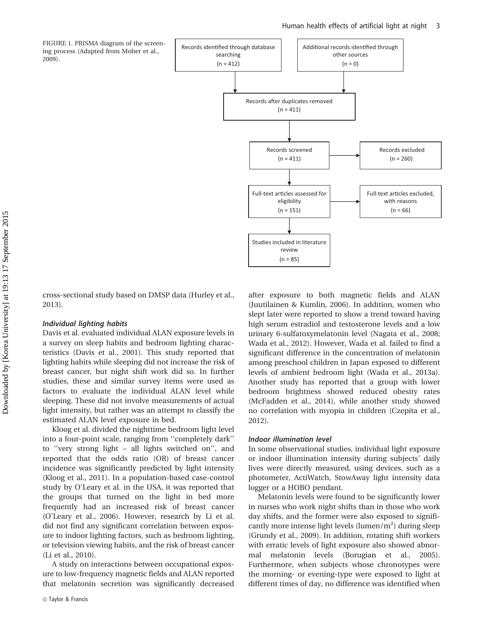<span id="page-3-0"></span>FIGURE 1. PRISMA diagram of the screening process (Adapted from Moher et al., [2009\)](#page-16-0).



cross-sectional study based on DMSP data (Hurley et al., [2013\)](#page-16-0).

### Individual lighting habits

Davis et al. evaluated individual ALAN exposure levels in a survey on sleep habits and bedroom lighting characteristics (Davis et al., [2001\)](#page-15-0). This study reported that lighting habits while sleeping did not increase the risk of breast cancer, but night shift work did so. In further studies, these and similar survey items were used as factors to evaluate the individual ALAN level while sleeping. These did not involve measurements of actual light intensity, but rather was an attempt to classify the estimated ALAN level exposure in bed.

Kloog et al. divided the nighttime bedroom light level into a four-point scale, ranging from ''completely dark'' to ''very strong light – all lights switched on'', and reported that the odds ratio (OR) of breast cancer incidence was significantly predicted by light intensity (Kloog et al., [2011\)](#page-16-0). In a population-based case-control study by O'Leary et al. in the USA, it was reported that the groups that turned on the light in bed more frequently had an increased risk of breast cancer (O'Leary et al., [2006](#page-16-0)). However, research by Li et al. did not find any significant correlation between exposure to indoor lighting factors, such as bedroom lighting, or television viewing habits, and the risk of breast cancer (Li et al., [2010\)](#page-16-0).

A study on interactions between occupational exposure to low-frequency magnetic fields and ALAN reported that melatonin secretion was significantly decreased

after exposure to both magnetic fields and ALAN (Juutilainen & Kumlin, [2006](#page-16-0)). In addition, women who slept later were reported to show a trend toward having high serum estradiol and testosterone levels and a low urinary 6-sulfatoxymelatonin level (Nagata et al., [2008](#page-16-0); Wada et al., [2012\)](#page-17-0). However, Wada et al. failed to find a significant difference in the concentration of melatonin among preschool children in Japan exposed to different levels of ambient bedroom light (Wada et al., [2013a](#page-17-0)). Another study has reported that a group with lower bedroom brightness showed reduced obesity rates (McFadden et al., [2014\)](#page-16-0), while another study showed no correlation with myopia in children (Czepita et al., 2012).

### Indoor illumination level

In some observational studies, individual light exposure or indoor illumination intensity during subjects' daily lives were directly measured, using devices, such as a photometer, ActiWatch, StowAway light intensity data logger or a HOBO pendant.

Melatonin levels were found to be significantly lower in nurses who work night shifts than in those who work day shifts, and the former were also exposed to significantly more intense light levels (lumen/ $m<sup>2</sup>$ ) during sleep (Grundy et al., [2009\)](#page-15-0). In addition, rotating shift workers with erratic levels of light exposure also showed abnormal melatonin levels (Borugian et al., [2005](#page-15-0)). Furthermore, when subjects whose chronotypes were the morning- or evening-type were exposed to light at different times of day, no difference was identified when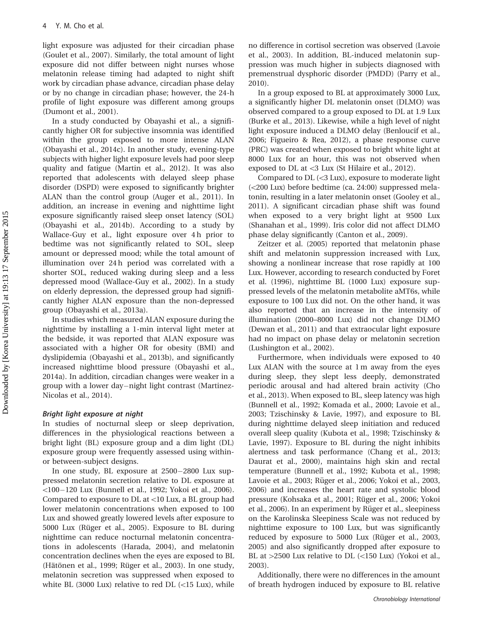light exposure was adjusted for their circadian phase (Goulet et al., [2007\)](#page-15-0). Similarly, the total amount of light exposure did not differ between night nurses whose melatonin release timing had adapted to night shift work by circadian phase advance, circadian phase delay or by no change in circadian phase; however, the 24-h profile of light exposure was different among groups (Dumont et al., [2001\)](#page-15-0).

In a study conducted by Obayashi et al., a significantly higher OR for subjective insomnia was identified within the group exposed to more intense ALAN (Obayashi et al., [2014c](#page-16-0)). In another study, evening-type subjects with higher light exposure levels had poor sleep quality and fatigue (Martin et al., [2012](#page-16-0)). It was also reported that adolescents with delayed sleep phase disorder (DSPD) were exposed to significantly brighter ALAN than the control group (Auger et al., [2011](#page-15-0)). In addition, an increase in evening and nighttime light exposure significantly raised sleep onset latency (SOL) (Obayashi et al., [2014b](#page-16-0)). According to a study by Wallace-Guy et al., light exposure over 4h prior to bedtime was not significantly related to SOL, sleep amount or depressed mood; while the total amount of illumination over 24 h period was correlated with a shorter SOL, reduced waking during sleep and a less depressed mood (Wallace-Guy et al., [2002\)](#page-17-0). In a study on elderly depression, the depressed group had significantly higher ALAN exposure than the non-depressed group (Obayashi et al., [2013a\)](#page-16-0).

In studies which measured ALAN exposure during the nighttime by installing a 1-min interval light meter at the bedside, it was reported that ALAN exposure was associated with a higher OR for obesity (BMI) and dyslipidemia (Obayashi et al., [2013b\)](#page-16-0), and significantly increased nighttime blood pressure (Obayashi et al., [2014a\)](#page-16-0). In addition, circadian changes were weaker in a group with a lower day-night light contrast (Martinez-Nicolas et al., [2014\)](#page-16-0).

### Bright light exposure at night

In studies of nocturnal sleep or sleep deprivation, differences in the physiological reactions between a bright light (BL) exposure group and a dim light (DL) exposure group were frequently assessed using withinor between-subject designs.

In one study, BL exposure at 2500-2800 Lux suppressed melatonin secretion relative to DL exposure at 5100-120 Lux (Bunnell et al., [1992;](#page-15-0) Yokoi et al., [2006](#page-17-0)). Compared to exposure to  $DL$  at  $<10$  Lux, a BL group had lower melatonin concentrations when exposed to 100 Lux and showed greatly lowered levels after exposure to 5000 Lux (Rüger et al., [2005\)](#page-16-0). Exposure to BL during nighttime can reduce nocturnal melatonin concentrations in adolescents (Harada, [2004\)](#page-16-0), and melatonin concentration declines when the eyes are exposed to BL (Hätönen et al., [1999;](#page-16-0) Rüger et al., [2003](#page-16-0)). In one study, melatonin secretion was suppressed when exposed to white BL (3000 Lux) relative to red DL  $\left($  <15 Lux), while no difference in cortisol secretion was observed (Lavoie et al., [2003](#page-16-0)). In addition, BL-induced melatonin suppression was much higher in subjects diagnosed with premenstrual dysphoric disorder (PMDD) (Parry et al., [2010\)](#page-16-0).

In a group exposed to BL at approximately 3000 Lux, a significantly higher DL melatonin onset (DLMO) was observed compared to a group exposed to DL at 1.9 Lux (Burke et al., [2013](#page-15-0)). Likewise, while a high level of night light exposure induced a DLMO delay (Benloucif et al., [2006;](#page-15-0) Figueiro & Rea, [2012](#page-15-0)), a phase response curve (PRC) was created when exposed to bright white light at 8000 Lux for an hour, this was not observed when exposed to DL at <3 Lux (St Hilaire et al., [2012](#page-17-0)).

Compared to  $DL \leq 3$  Lux), exposure to moderate light  $\approx$  1000 Lux) before bedtime (ca. 24:00) suppressed melatonin, resulting in a later melatonin onset (Gooley et al., [2011\)](#page-15-0). A significant circadian phase shift was found when exposed to a very bright light at 9500 Lux (Shanahan et al., [1999\)](#page-17-0). Iris color did not affect DLMO phase delay significantly (Canton et al., [2009](#page-15-0)).

Zeitzer et al. ([2005\)](#page-17-0) reported that melatonin phase shift and melatonin suppression increased with Lux, showing a nonlinear increase that rose rapidly at 100 Lux. However, according to research conducted by Foret et al. [\(1996](#page-15-0)), nighttime BL (1000 Lux) exposure suppressed levels of the melatonin metabolite aMT6s, while exposure to 100 Lux did not. On the other hand, it was also reported that an increase in the intensity of illumination (2000–8000 Lux) did not change DLMO (Dewan et al., [2011](#page-15-0)) and that extraocular light exposure had no impact on phase delay or melatonin secretion (Lushington et al., [2002](#page-16-0)).

Furthermore, when individuals were exposed to 40 Lux ALAN with the source at 1 m away from the eyes during sleep, they slept less deeply, demonstrated periodic arousal and had altered brain activity (Cho et al., [2013](#page-15-0)). When exposed to BL, sleep latency was high (Bunnell et al., [1992;](#page-15-0) Komada et al., [2000](#page-16-0); Lavoie et al., [2003;](#page-16-0) Tzischinsky & Lavie, [1997\)](#page-17-0), and exposure to BL during nighttime delayed sleep initiation and reduced overall sleep quality (Kubota et al., [1998;](#page-16-0) Tzischinsky & Lavie, [1997](#page-17-0)). Exposure to BL during the night inhibits alertness and task performance (Chang et al., [2013](#page-15-0); Daurat et al., [2000](#page-15-0)), maintains high skin and rectal temperature (Bunnell et al., [1992](#page-15-0); Kubota et al., [1998](#page-16-0); Lavoie et al., [2003](#page-17-0); Rüger et al., [2006](#page-17-0); Yokoi et al., 2003, [2006\)](#page-17-0) and increases the heart rate and systolic blood pressure (Kohsaka et al., [2001](#page-16-0); Rüger et al., [2006](#page-17-0); Yokoi et al., [2006\)](#page-17-0). In an experiment by Rüger et al., sleepiness on the Karolinska Sleepiness Scale was not reduced by nighttime exposure to 100 Lux, but was significantly reduced by exposure to 5000 Lux (Rüger et al., [2003](#page-16-0), [2005\)](#page-16-0) and also significantly dropped after exposure to BL at  $>2500$  Lux relative to DL (<150 Lux) (Yokoi et al., [2003\)](#page-17-0).

Additionally, there were no differences in the amount of breath hydrogen induced by exposure to BL relative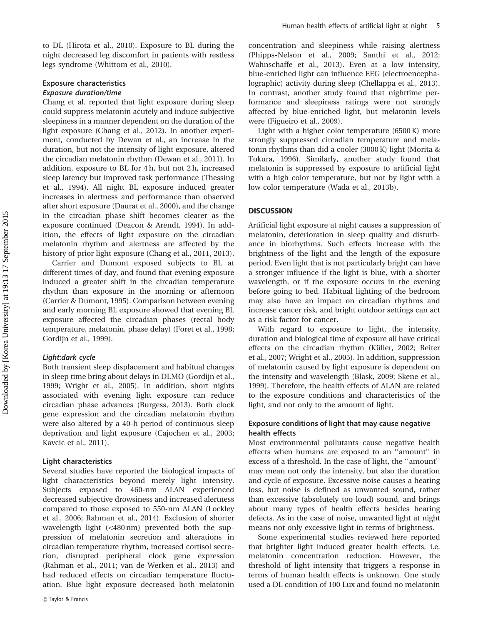to DL (Hirota et al., [2010](#page-16-0)). Exposure to BL during the night decreased leg discomfort in patients with restless legs syndrome (Whittom et al., [2010](#page-17-0)).

### Exposure characteristics

### Exposure duration/time

Chang et al. reported that light exposure during sleep could suppress melatonin acutely and induce subjective sleepiness in a manner dependent on the duration of the light exposure (Chang et al., [2012\)](#page-15-0). In another experiment, conducted by Dewan et al., an increase in the duration, but not the intensity of light exposure, altered the circadian melatonin rhythm (Dewan et al., [2011](#page-15-0)). In addition, exposure to BL for 4 h, but not 2 h, increased sleep latency but improved task performance (Thessing et al., [1994](#page-17-0)). All night BL exposure induced greater increases in alertness and performance than observed after short exposure (Daurat et al., [2000](#page-15-0)), and the change in the circadian phase shift becomes clearer as the exposure continued (Deacon & Arendt, [1994\)](#page-15-0). In addition, the effects of light exposure on the circadian melatonin rhythm and alertness are affected by the history of prior light exposure (Chang et al., [2011, 2013](#page-15-0)).

Carrier and Dumont exposed subjects to BL at different times of day, and found that evening exposure induced a greater shift in the circadian temperature rhythm than exposure in the morning or afternoon (Carrier & Dumont, [1995\)](#page-15-0). Comparison between evening and early morning BL exposure showed that evening BL exposure affected the circadian phases (rectal body temperature, melatonin, phase delay) (Foret et al., [1998](#page-15-0); Gordijn et al., [1999\)](#page-15-0).

### Light:dark cycle

Both transient sleep displacement and habitual changes in sleep time bring about delays in DLMO (Gordijn et al., [1999;](#page-15-0) Wright et al., [2005\)](#page-17-0). In addition, short nights associated with evening light exposure can reduce circadian phase advances (Burgess, [2013](#page-15-0)). Both clock gene expression and the circadian melatonin rhythm were also altered by a 40-h period of continuous sleep deprivation and light exposure (Cajochen et al., [2003](#page-15-0); Kavcic et al., [2011](#page-16-0)).

### Light characteristics

Several studies have reported the biological impacts of light characteristics beyond merely light intensity. Subjects exposed to 460-nm ALAN experienced decreased subjective drowsiness and increased alertness compared to those exposed to 550-nm ALAN (Lockley et al., [2006](#page-16-0); Rahman et al., [2014\)](#page-16-0). Exclusion of shorter wavelength light  $\ll 480 \text{ nm}$  prevented both the suppression of melatonin secretion and alterations in circadian temperature rhythm, increased cortisol secretion, disrupted peripheral clock gene expression (Rahman et al., [2011](#page-16-0); van de Werken et al., [2013](#page-17-0)) and had reduced effects on circadian temperature fluctuation. Blue light exposure decreased both melatonin

concentration and sleepiness while raising alertness (Phipps-Nelson et al., [2009;](#page-16-0) Santhi et al., [2012](#page-17-0); Wahnschaffe et al., [2013](#page-17-0)). Even at a low intensity, blue-enriched light can influence EEG (electroencephalographic) activity during sleep (Chellappa et al., [2013](#page-15-0)). In contrast, another study found that nighttime performance and sleepiness ratings were not strongly affected by blue-enriched light, but melatonin levels were (Figueiro et al., [2009\)](#page-15-0).

Light with a higher color temperature (6500 K) more strongly suppressed circadian temperature and melatonin rhythms than did a cooler (3000 K) light (Morita & Tokura, [1996](#page-16-0)). Similarly, another study found that melatonin is suppressed by exposure to artificial light with a high color temperature, but not by light with a low color temperature (Wada et al., [2013b](#page-17-0)).

### **DISCUSSION**

Artificial light exposure at night causes a suppression of melatonin, deterioration in sleep quality and disturbance in biorhythms. Such effects increase with the brightness of the light and the length of the exposure period. Even light that is not particularly bright can have a stronger influence if the light is blue, with a shorter wavelength, or if the exposure occurs in the evening before going to bed. Habitual lighting of the bedroom may also have an impact on circadian rhythms and increase cancer risk, and bright outdoor settings can act as a risk factor for cancer.

With regard to exposure to light, the intensity, duration and biological time of exposure all have critical effects on the circadian rhythm (Küller, [2002;](#page-16-0) Reiter et al., [2007;](#page-16-0) Wright et al., [2005](#page-17-0)). In addition, suppression of melatonin caused by light exposure is dependent on the intensity and wavelength (Blask, [2009;](#page-15-0) Skene et al., [1999\)](#page-17-0). Therefore, the health effects of ALAN are related to the exposure conditions and characteristics of the light, and not only to the amount of light.

### Exposure conditions of light that may cause negative health effects

Most environmental pollutants cause negative health effects when humans are exposed to an ''amount'' in excess of a threshold. In the case of light, the ''amount'' may mean not only the intensity, but also the duration and cycle of exposure. Excessive noise causes a hearing loss, but noise is defined as unwanted sound, rather than excessive (absolutely too loud) sound, and brings about many types of health effects besides hearing defects. As in the case of noise, unwanted light at night means not only excessive light in terms of brightness.

Some experimental studies reviewed here reported that brighter light induced greater health effects, i.e. melatonin concentration reduction. However, the threshold of light intensity that triggers a response in terms of human health effects is unknown. One study used a DL condition of 100 Lux and found no melatonin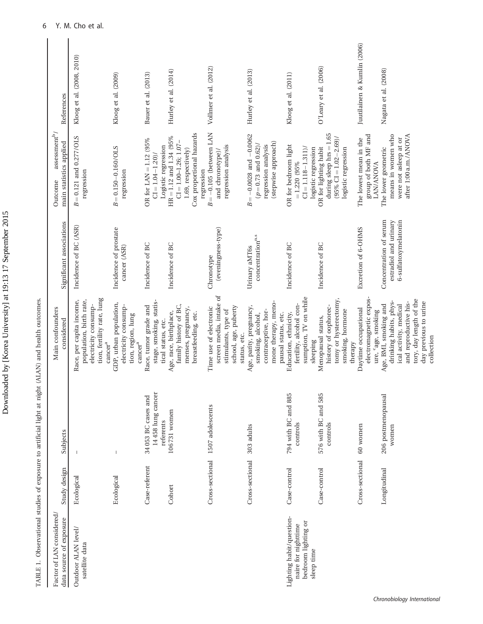<span id="page-6-0"></span>

|                                                                                      |                 | Appearance is the contract of the contract of the contract of the contract of the contract of the contract of the contract of the contract of the contract of the contract of the contract of the contract of the contract of | gin (vita) and neann omronnes.                                                                                                                                       |                                                                         |                                                                                                                           |                             |
|--------------------------------------------------------------------------------------|-----------------|-------------------------------------------------------------------------------------------------------------------------------------------------------------------------------------------------------------------------------|----------------------------------------------------------------------------------------------------------------------------------------------------------------------|-------------------------------------------------------------------------|---------------------------------------------------------------------------------------------------------------------------|-----------------------------|
| Factor of LAN considered/<br>data source of exposure                                 | Study design    | Subjects                                                                                                                                                                                                                      | Main confounders<br>considered                                                                                                                                       | Significant associations                                                | assessment <sup>b</sup> /<br>main statistics applied<br>Outcome                                                           | References                  |
| Outdoor ALAN level/<br>satellite data                                                | Ecological      |                                                                                                                                                                                                                               | tion, fertility rate, lung<br>population, birth rate,<br>Race, per capita income,<br>electricity consump-<br>$\ensuremath{\text{cancer}}^{\ensuremath{\text{a}}}$    | Incidence of BC (ASR)                                                   | $B = 0.121$ and $0.277/01$ .<br>regression                                                                                | Kloog et al. (2008, 2010)   |
|                                                                                      | Ecological      | $\mathsf{l}$                                                                                                                                                                                                                  | GDP, urban population,<br>electricity consump-<br>tion, region, lung<br>$\ensuremath{\text{cancer}}^{\ensuremath{\text{a}}}$                                         | Incidence of prostate<br>cancer (ASR)                                   | $B = 0.150 - 0.160 / OLS$<br>regression                                                                                   | Kloog et al. (2009)         |
|                                                                                      | Case-referent   | 34 053 BC cases and<br>14458 lung cance<br>referents                                                                                                                                                                          | stage, smoking, statis-<br>Race, tumor grade and<br>tical status, etc.                                                                                               | Incidence of BC                                                         | OR for LAN = $1.12$ (95%<br>Logistic regression<br>$CI = 1.04 - 1.20$                                                     | Bauer et al. (2013)         |
|                                                                                      | Cohort          | 106731 women                                                                                                                                                                                                                  | family history of BC,<br>menses, pregnancy,<br>Age, race, birthplace,<br>breastfeeding, etc.                                                                         | Incidence of BC                                                         | Cox proportional hazards<br>$HR = 1.12$ and 1.34 (95%)<br>$CI = 1.00 - 1.26; 1.07 -$<br>1.69, respectively)<br>regression | Hurley et al. (2014)        |
|                                                                                      | Cross-sectional | 1507 adolescents                                                                                                                                                                                                              | screen media, intake of<br>school, age, puberty<br>Time use of electronic<br>stimulants, type of<br>status, etc.                                                     | (eveningness-type)<br>Chronotype                                        | $B = -0.105$ (between LAN<br>regression analysis<br>and chronotype)/                                                      | Vollmer et al. (2012)       |
|                                                                                      | Cross-sectional | 303 adults                                                                                                                                                                                                                    | mone therapy, meno-<br>Age, parity, pregnancy,<br>contraceptive, hor-<br>pausal status, etc.<br>smoking, alcohol,                                                    | $concentrationn.s$<br>Urinary aMT6s                                     | $B = -0.0028$ and $-0.0062$<br>(stepwise approach)<br>$(p=0.73$ and $0.62)$ /<br>regression analysis                      | Hurley et al. (2013)        |
| Lighting habit/question-<br>bedroom lighting or<br>naire for nighttime<br>sleep time | Case-control    | 794 with BC and 885<br>controls                                                                                                                                                                                               | sumption, TV on while<br>fertility, alcohol con-<br>Education, ethnicity,<br>sleeping                                                                                | Incidence of BC                                                         | OR for bedroom light<br>$CI = 1.118 - 1.311$<br>logistic regression<br>$= 1.220$ (95%                                     | Kloog et al. (2011)         |
|                                                                                      | Case-control    | 576 with BC and 585<br>controls                                                                                                                                                                                               | tomy or hysterectomy,<br>history of oophorec-<br>smoking, hormone<br>Menopausal status,<br>therapy                                                                   | Incidence of BC                                                         | during sleep $hrs = 1.65$<br>$(95\% \text{ CI} = 1.02 - 2.69)$ /<br>OR for lighting habit<br>logistic regression          | O'Leary et al. (2006)       |
|                                                                                      | Cross-sectional | 60 women                                                                                                                                                                                                                      | electromagnetic expos-<br>Daytime occupational<br>ure, <sup>c</sup> age, smoking                                                                                     | Excretion of 6-OHMS                                                     | group of both MF and<br>The lowest mean in the<br>LAN/ANOVA                                                               | Juutilainen & Kumlin (2006) |
|                                                                                      | Longitudinal    | 206 postmenopausal<br>women                                                                                                                                                                                                   | tory, day length of the<br>drinking habits, phys-<br>and reproductive his-<br>day previous to urine<br>Age, BMI, smoking and<br>ical activity, medical<br>collection | Concentration of serum<br>estradiol and urinary<br>6-sulfatoxymelatonin | means in women who<br>after 1:00 a.m./ANOVA<br>were not asleep at or<br>The lower geometric                               | Nagata et al. (2008)        |
|                                                                                      |                 |                                                                                                                                                                                                                               |                                                                                                                                                                      |                                                                         |                                                                                                                           |                             |

TABLE 1. Observational studies of exposure to artificial light at night (ALAN) and health outcomes. TABLE 1. Observational studies of exposure to artificial light at night (ALAN) and health outcomes.

Downloaded by [Korea University] at 19:13 17 September 2015

Downloaded by [Korea University] at 19:13 17 September 2015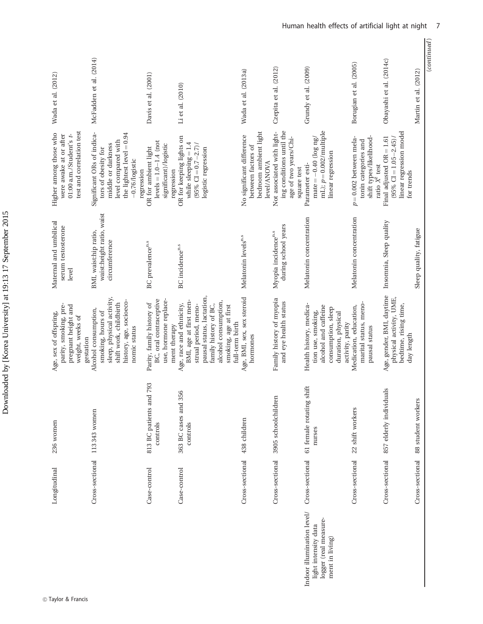|                                                                                   | McFadden et al. (2014)<br>Significant ORs of indica-<br>the lightest $level = 0.94$<br>level compared with<br>middle or darkness<br>tors of obesity for<br>$-0.76$ /logistic | Davis et al. (2001)<br>$levels = 1.0 - 1.4$ (not<br>significant)/logistic<br>OR for ambient light | Li et al. (2010)<br>OR for keeping lights on<br>while sleeping $= 1.4$<br>$(95\% \text{ CI} = 0.7 - 2.7)$ /<br>logistic regression                                                                   | Wada et al. (2013a)<br>bedroom ambient light<br>No significant difference<br>between factors of<br>level/ANOVA | Czepita et al. (2012)<br>ing conditions until the<br>Not associated with light-<br>age of two years/Chi- | Grundy et al. (2009)<br>mL); $p = 0.002$ /multiple<br>$\text{mate} = -0.40$ (log ng/<br>linear regression                             | Borugian et al. (2005)<br>shift types/likelihood-<br>$p = 0.002$ between mela-<br>tonin categories and<br>ratio $X^2$ test | Obayashi et al. (2014c)<br>linear regression model<br>Final adjusted $OR = 1.61$<br>$(95\% \text{ CI} = 1.05 - 2.45)$ / | $_{(continued)}$<br>Martin et al. (2012) |
|-----------------------------------------------------------------------------------|------------------------------------------------------------------------------------------------------------------------------------------------------------------------------|---------------------------------------------------------------------------------------------------|------------------------------------------------------------------------------------------------------------------------------------------------------------------------------------------------------|----------------------------------------------------------------------------------------------------------------|----------------------------------------------------------------------------------------------------------|---------------------------------------------------------------------------------------------------------------------------------------|----------------------------------------------------------------------------------------------------------------------------|-------------------------------------------------------------------------------------------------------------------------|------------------------------------------|
| test and correlation test<br>01:00 a.m./Student's $t$ -<br>were awake at or after | regression                                                                                                                                                                   | regression                                                                                        |                                                                                                                                                                                                      |                                                                                                                | square test                                                                                              | Parameter esti-                                                                                                                       |                                                                                                                            | for trends                                                                                                              |                                          |
| serum testosterone<br>level                                                       | waist:height ratio, waist<br>BMI, waist:hip ratio,<br>circumference                                                                                                          | BC prevalence <sup>n.s</sup>                                                                      | BC incidence <sup>n.s</sup>                                                                                                                                                                          | Melatonin levels <sup>n.s</sup>                                                                                | during school years<br>Myopia incidence <sup>n.s</sup>                                                   | Melatonin concentration                                                                                                               | Melatonin concentration                                                                                                    | Insomnia, Sleep quality                                                                                                 | Sleep quality, fatigue                   |
| parity, smoking, pre-<br>pregnant height and<br>weight, weeks of<br>gestation     | sleep, physical activity,<br>history, age, socioeco-<br>shift work, childbirth<br>Alcohol consumption,<br>smoking, hours of<br>nomic status                                  | BC, oral contraceptive<br>use, hormone replace-<br>Parity, family history of<br>ment therapy      | pausal status, lactation,<br>BMI, age at first men-<br>alcohol consumption,<br>Age, race and ethnicity,<br>family history of BC,<br>strual period, meno-<br>smoking, age at first<br>full-term birth | Age, BMI, sex, sex steroid<br>hormones                                                                         | Family history of myopia<br>and eye health status                                                        | Health history, medica-<br>alcohol and caffeine<br>consumption, sleep<br>tion use, smoking,<br>duration, physical<br>activity, parity | marital status, meno-<br>Medication, education,<br>pausal status                                                           | Age, gender, BMI, daytime<br>physical activity, UME,<br>bedtime, rising time,<br>day length                             |                                          |
| 236 women                                                                         | 113343 women                                                                                                                                                                 | ?93<br>813 BC patients and<br>controls                                                            | 363 BC cases and 356<br>controls                                                                                                                                                                     | 438 children                                                                                                   | 3905 schoolchildren                                                                                      | ∰<br>61 female rotating shi<br>nurses                                                                                                 | 22 shift workers                                                                                                           | 857 elderly individual                                                                                                  | 88 student workers                       |
| Longitudinal                                                                      | Cross-sectional                                                                                                                                                              | Case-control                                                                                      | Case-control                                                                                                                                                                                         | Cross-sectional                                                                                                | Cross-sectional                                                                                          | Cross-sectional                                                                                                                       | Cross-sectional                                                                                                            | Cross-sectional                                                                                                         | Cross-sectional                          |
|                                                                                   |                                                                                                                                                                              |                                                                                                   |                                                                                                                                                                                                      |                                                                                                                |                                                                                                          | Indoor illumination level/<br>logger (real measure-<br>light intensity data<br>ment in living)                                        |                                                                                                                            |                                                                                                                         |                                          |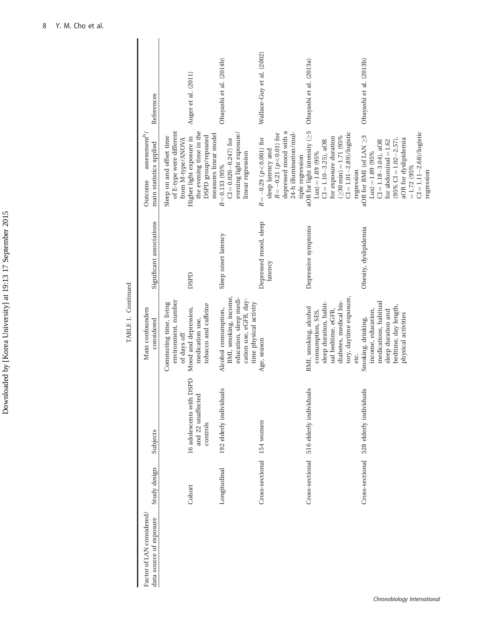| Factor of LAN considered. |                           |                                               | Main confounders                                                           |                                  | assessment <sup>b</sup><br>Outcome                                                     |                           |
|---------------------------|---------------------------|-----------------------------------------------|----------------------------------------------------------------------------|----------------------------------|----------------------------------------------------------------------------------------|---------------------------|
| data source of exposure   | Study design              | Subjects                                      | considered                                                                 | Significant associations         | main statistics applied                                                                | References                |
|                           |                           |                                               | environment, number<br>Commuting time, living<br>of days off               |                                  | of E-type were different<br>Sleep on and offset time<br>from M-type/ANOVA              |                           |
|                           | Cohort                    | 16 adolescents with DSPD<br>and 22 unaffected | Mood and depression,<br>medication use,                                    | DSPD                             | the evening time in the<br>Higher light exposure in                                    | Auger et al. (2011)       |
|                           |                           | controls                                      | tobacco and caffeine                                                       |                                  | measures linear model<br>DSPD group/repeated                                           |                           |
|                           | Longitudinal              | 192 elderly individuals                       | BMI, smoking, income,<br>Alcohol consumption,                              | Sleep onset latency              | $CI = 0.020 - 0.247$ for<br>$B = 0.133(95\%$                                           | Obayashi et al. (2014b)   |
|                           |                           |                                               | education, sleep medi-<br>cation use, eGFR, day-<br>time physical activity |                                  | evening light exposure/<br>linear regression                                           |                           |
|                           | Cross-sectional 154 women |                                               | Age, season                                                                | Depressed mood, sleep<br>latency | $R = -0.21$ ( $p < 0.01$ ) for<br>$R = -0.29$ ( $p < 0.001$ ) for<br>sleep latency and | Wallace-Guy et al. (2002) |
|                           |                           |                                               |                                                                            |                                  | depressed mood with a<br>24-h illumination/mul-                                        |                           |
|                           | Cross-sectional           | 516 elderly individuals                       | BMI, smoking, alcohol                                                      | Depressive symptoms              | aOR for light intensity ( $\geq$ 5<br>tiple regression                                 | Obayashi et al. (2013a)   |
|                           |                           |                                               | consumption, SES,                                                          |                                  | $Lux$ ) = 1.89 (95%                                                                    |                           |
|                           |                           |                                               | sleep duration, habit-<br>ual bedtime, eGFR,                               |                                  | $CI = 1.10 - 3.25$ ), aOR                                                              |                           |
|                           |                           |                                               | diabetes, medical his-                                                     |                                  | $(230 \text{ min}) = 1.71 (95\%$<br>for exposure duration                              |                           |
|                           |                           |                                               | tory, daytime exposure,<br>etc.                                            |                                  | $CI = 1.01 - 2.89$ /logistic                                                           |                           |
|                           | Cross-sectional           | 528 elderly individuals                       | Smoking, drinking,                                                         | Obesity, dyslipidemia            | aOR for BMI (of LAN $\geq\!\!3$<br>regression                                          | Obayashi et al. (2013b)   |
|                           |                           |                                               | medications, habitual<br>income, education,                                |                                  | $CI = 1.18 - 3.04$ ), aOR<br>$Lux$ ) = 1.89 (95%                                       |                           |
|                           |                           |                                               | sleep duration and                                                         |                                  | for abdominal $= 1.62$                                                                 |                           |
|                           |                           |                                               | bedtime, day length,                                                       |                                  | $(95\% \text{ CI} = 1.02 - 2.57),$                                                     |                           |
|                           |                           |                                               | physical activities                                                        |                                  | aOR for dyslipidemia<br>$=1.72(95%$                                                    |                           |
|                           |                           |                                               |                                                                            |                                  | $CI = 1.11 - 2.68$ /logistic                                                           |                           |
|                           |                           |                                               |                                                                            |                                  | regression                                                                             |                           |

TABLE 1. Continued TABLE 1. Continued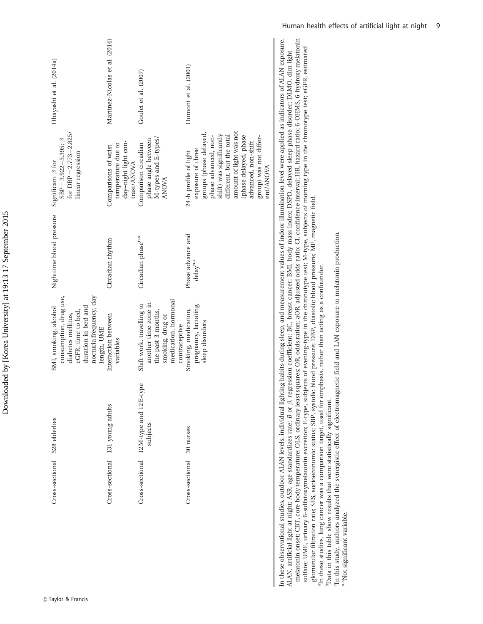|                 | Cross-sectional 528 elderlies                       | consumption, drug use,<br>nocturia frequency, day<br>duration in bed and<br>BMI, smoking, alcohol<br>eGFR, time to bed,<br>diabetes mellitus,<br>length, UME | Nighttime blood pressure                  | for DBP = $2.773 - 2.825$<br>$SBP = 3.922 - 5.395; \beta$<br>linear regression<br>Significant $\beta$ for                                                                                                                                                              | Obayashi et al. (2014a)        |
|-----------------|-----------------------------------------------------|--------------------------------------------------------------------------------------------------------------------------------------------------------------|-------------------------------------------|------------------------------------------------------------------------------------------------------------------------------------------------------------------------------------------------------------------------------------------------------------------------|--------------------------------|
|                 | Cross-sectional 131 young adults                    | Interaction between<br>variables                                                                                                                             | Circadian rhythm                          | day-night light con-<br>temperature due to<br>Comparisons of wrist<br>trast/ANOVA                                                                                                                                                                                      | Martinez-Nicolas et al. (2014) |
|                 | Cross-sectional 12 M-type and 12 E-type<br>subjects | medication, hormonal<br>another time zone in<br>Shift work, travelling to<br>the past 3 months,<br>smoking, drug or<br>contraceptive                         | Circadian phase <sup>n.s</sup>            | M-types and E-types/<br>phase angle between<br>Comparison circadian<br>ANOVA                                                                                                                                                                                           | Goulet et al. (2007)           |
| Cross-sectional | 30 nurses                                           | pregnancy, lactating,<br>Smoking, medication,<br>sleep disorders                                                                                             | Phase advance and<br>delay <sup>n.s</sup> | amount of light was not<br>groups (phase delayed,<br>shift) was significantly<br>(phase delayed, phase<br>different. but the total<br>phase advanced, non-<br>group) was not differ-<br>advanced, non-shift<br>exposure of three<br>24-h profile of light<br>ent/ANOVA | Dumont et al. (2001)           |

14)

In these observational studies, outdoor ALAN levels, individual lighting habits during sleep, and measurement values of indoor illumination level were applied as indicators of ALAN exposure. In these observational studies, outdoor ALAN levels, individual lighting habits during sleep, and measurement values of indoor illumination level were applied as indicators of ALAN exposure. melatonin onset; CBT, core body temperature; OLS, ordinary least squares; OR, odds ration; aOR, adjusted odds-ratio; CI, confidence interval; HR, hazard ratio; 6-OHMS, 6-hydroxy melatonin sulfate; UME, urinary 6-sulfatoxymelatonin excretion; E-type, subjects of evening-type in the chronotype test; M-type, subjects of morning type in the chronotype test; eGFR, estimated sulfate; UME, urinary 6-sulfatoxymelatonin excretion; E-type, subjects of evening-type in the chronotype test; M-type, subjects of morning type in the chronotype test; eGFR, estimated , regression coefficient; BC, breast cancer; BMI, body mass index; DSPD, delayed sleep phase disorder; DLMO, dim light  $B$  or  $\beta$ ALAN, artificial light at night; ASR, age-standardizes rate;

glomerular filtration rate; SES, socioeconomic status; SBP, systolic blood pressure; DBP, diastolic blood pressure; MF, magnetic field.<br><sup>a</sup>In these studies, lung cancer was a comparison target, used for emphasis, rather th glomerular filtration rate; SES, socioeconomic status; SBP, systolic blood pressure; DBP, diastolic blood pressure; MF, magnetic field.  $^{\rm a}{}_{\rm In}$  these studies, lung cancer was a comparison target, used for emphasis, rather than acting as a confounder.

bData in this table show results that were statistically significant.

<sup>c</sup>In this study, authors analyzed the synergistic effect of electromagnetic field and LAN exposure to melatonin production. cIn this study, authors analyzed the synergistic effect of electromagnetic field and LAN exposure to melatonin production. <sup>n.s</sup>Not significant variable. n.sNot significant variable.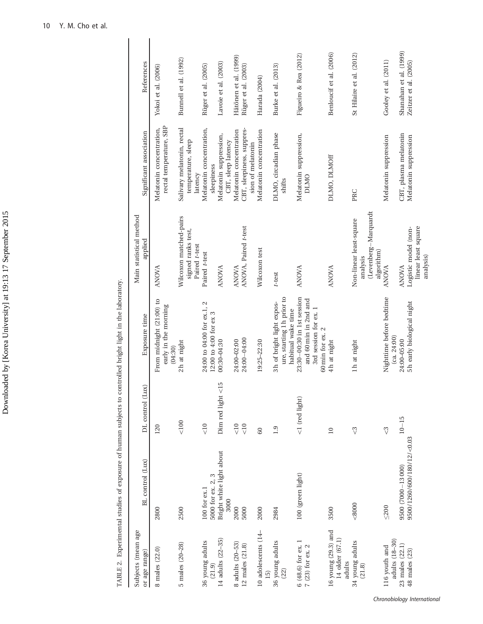|                                                  |                                                 |                                   | " home to the community of the community of the community of the community of the community of the community of the community of the community of the community of the community of the community of the community of the comm |                                                                           |                                                                           |                                                 |
|--------------------------------------------------|-------------------------------------------------|-----------------------------------|--------------------------------------------------------------------------------------------------------------------------------------------------------------------------------------------------------------------------------|---------------------------------------------------------------------------|---------------------------------------------------------------------------|-------------------------------------------------|
| Subjects (mean age<br>or age range)              | BL control (Lux)                                | DL control (Lux)                  | Exposure time                                                                                                                                                                                                                  | Main statistical method<br>applied                                        | Significant association                                                   | References                                      |
| 8 males (22.0)                                   | 2800                                            | 120                               | From midnight (21:00) to<br>early in the morning<br>(04:30)                                                                                                                                                                    | <b>ANOVA</b>                                                              | rectal temperature, SBP<br>Melatonin concentration,                       | Yokoi et al. (2006)                             |
| $5$ males $(20-28)$                              | 2500                                            | $<100$                            | 2h at night                                                                                                                                                                                                                    | Wilcoxon matched-pairs<br>signed ranks test,<br>Paired t-test             | Salivary melatonin, rectal<br>temperature, sleep<br>latency               | Bunnell et al. (1992)                           |
| 36 young adults<br>(21.9)                        | 5000 for ex. 2, 3<br>$100$ for $ex.1$           | $rac{1}{\sqrt{2}}$                | 24:00 to 04:00 for ex.1, 2<br>12:00 to 4:00 for ex 3                                                                                                                                                                           | Paired t-test                                                             | Melatonin concentration,<br>sleepiness                                    | Rüger et al. (2005)                             |
| 14 adults (22-35)                                | Bright white light about<br>3000                | Dim red light $<$ 15              | 00:30-04:30                                                                                                                                                                                                                    | <b>ANOVA</b>                                                              | Melatonin suppression,<br>CBT, sleep latency                              | Lavoie et al. (2003)                            |
| 8 adults (20-53)<br>12 males (21.8)              | 2000<br>5000                                    | $rac{1}{\sqrt{2}}$<br>$\leqslant$ | 24:00-04:00<br>24:00-02:00                                                                                                                                                                                                     | ANOVA, Paired t-test<br><b>ANOVA</b>                                      | CBT, sleepiness, suppres-<br>Melatonin concentration<br>sion of melatonin | Hätönen et al. (1999)<br>Rüger et al. (2003)    |
| 10 adolescents (14-<br>15)                       | 2000                                            | 60                                | 19:25-22:30                                                                                                                                                                                                                    | Wilcoxon test                                                             | Melatonin concentration                                                   | Harada (2004)                                   |
| 36 young adults<br>(22)                          | 2984                                            | 1.9                               | ure, starting 1 h prior to<br>3h of bright light expos-<br>habitual wake time                                                                                                                                                  | t-test                                                                    | DLMO, circadian phase<br>shifts                                           | Burke et al. (2013)                             |
| $6$ (48.6) for ex. 1 $7$ (23) for ex. 2          | 100 (green light)                               | $<$ 1 (red light)                 | 23:30-00:30 in 1st session<br>and 60 min in 2nd and<br>3rd session for ex. 1<br>60 min for ex. 2                                                                                                                               | <b>ANOVA</b>                                                              | Melatonin suppression,<br>DIMO                                            | Figueiro & Rea (2012)                           |
| 16 young (29.3) and<br>14 older (67.1)<br>adults | 3500                                            | 10                                | 4h at night                                                                                                                                                                                                                    | <b>ANOVA</b>                                                              | DLMO, DLMOff                                                              | Benloucif et al. (2006)                         |
| 34 young adults<br>(21.8)                        | &0008                                           | $\heartsuit$                      | 1h at night                                                                                                                                                                                                                    | (Levenberg-Marquardt<br>Non-linear least-square<br>algorithm)<br>analysis | PRC                                                                       | St Hilaire et al. (2012)                        |
| adults (18-30)<br>116 youth and                  | $\leq$ 200                                      | V                                 | Nighttime before bedtime<br>(ca. 24:00)                                                                                                                                                                                        | <b>ANOVA</b>                                                              | Melatonin suppression                                                     | Gooley et al. (2011)                            |
| 23 males (22.1)<br>48 males (23)                 | 9500/1260/600/180/12/<0.03<br>9500 (7000-13000) | $10 - 15$                         | 5h early biological night<br>24:00-05:00                                                                                                                                                                                       | linear least square<br>Logistic model (non-<br>analysis)<br><b>ANOVA</b>  | CBT, plasma melatonin<br>Melatonin suppression                            | Shanahan et al. (1999)<br>Zeitzer et al. (2005) |

TABLE 2. Experimental studies of exposure of human subjects to controlled bright light in the laboratory. TABLE 2. Experimental studies of exposure of human subjects to controlled bright light in the laboratory.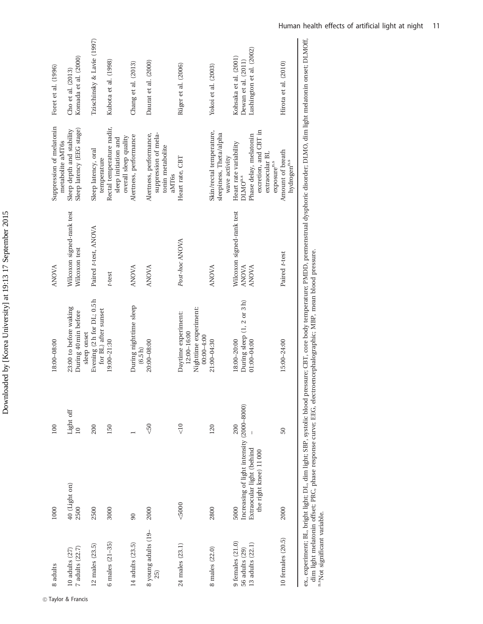| 8 adults                                                  | 1000                                                                                                    | 100                          | 18:00-08:00                                                                     | <b>ANOVA</b>                                              | Suppression of melatonin<br>metabolite aMT6s                                                                                                       | Foret et al. (1996)                                                      |
|-----------------------------------------------------------|---------------------------------------------------------------------------------------------------------|------------------------------|---------------------------------------------------------------------------------|-----------------------------------------------------------|----------------------------------------------------------------------------------------------------------------------------------------------------|--------------------------------------------------------------------------|
| 7 adults (22.7)<br>$10$ adults $\left( 27\right)$         | 40 (Light on)<br>2500                                                                                   | Light off<br>$\overline{10}$ | 23:00 to before waking<br>During 40 min before<br>sleep onset                   | Wilcoxon signed-rank test<br>Wilcoxon test                | Sleep latency (EEG stage)<br>Sleep depth and stability                                                                                             | Komada et al. (2000)<br>Cho et al. (2013)                                |
| 12 males (23.5)                                           | 2500                                                                                                    | 200                          | Evening (2h for DL; 0.5h<br>for BL) after sunset                                | Paired t-test, ANOVA                                      | Sleep latency, oral<br>temperature                                                                                                                 | Tzischinsky & Lavie (1997)                                               |
| 6 males $(21 - 35)$                                       | 3000                                                                                                    | 150                          | $19:00 - 21:30$                                                                 | t-test                                                    | Rectal temperature nadir,<br>overall sleep quality<br>sleep initiation and                                                                         | Kubota et al. (1998)                                                     |
| 14 adults (23.5)                                          | 90                                                                                                      |                              | During nighttime sleep<br>(6.5h)                                                | <b>ANOVA</b>                                              | Alertness, performance                                                                                                                             | Chang et al. (2013)                                                      |
| 8 young adults (19-<br>25)                                | 2000                                                                                                    | $\sqrt{50}$                  | 20:00-08:00                                                                     | <b>ANOVA</b>                                              | suppression of mela-<br>Alertness, performance,<br>tonin metabolite<br>aMT <sub>6s</sub>                                                           | Daurat et al. (2000)                                                     |
| 24 males (23.1)                                           | &5000                                                                                                   | $\overline{c}$               | Nighttime experiment:<br>Daytime experiment:<br>$12:00 - 16:00$<br>$00:00-4:00$ | Post-hoc ANOVA                                            | Heart rate, CBT                                                                                                                                    | Rüger et al. (2006)                                                      |
| 8 males (22.0)                                            | 2800                                                                                                    | 120                          | 21:00-04:30                                                                     | <b>ANOVA</b>                                              | Skin/rectal temperature,<br>sleepiness, Theta/alpha<br>wave activity                                                                               | Yokoi et al. (2003)                                                      |
| $9$ females $(21.0)$<br>13 adults (22.1<br>56 adults (29) | Increasing of light intensity (2000-8000)<br>Extraocular light (behind<br>the right knee) 11000<br>5000 | 200                          | During sleep (1, 2 or 3h)<br>18:00-20:00<br>01:00-04:00                         | Wilcoxon signed-rank test<br><b>ANOVA</b><br><b>ANOVA</b> | excretion, and CBT in<br>Phase delay, melatonin<br>Heart rate variability<br>extraocular BL<br>${\rm exposure}^{\rm n.s}$<br>$\rm{DLMO}^{\rm n.s}$ | Lushington et al. (2002)<br>Kohsaka et al. (2001)<br>Dewan et al. (2011) |
| 10 females (20.5)                                         | 2000                                                                                                    | 50                           | 15:00-24:00                                                                     | Paired t-test                                             | Amount of breath<br>hydrogen <sup>n.s</sup>                                                                                                        | Hirota et al. (2010)                                                     |
|                                                           |                                                                                                         |                              |                                                                                 |                                                           |                                                                                                                                                    |                                                                          |

ex., experiment; BL, bright light; DL, dim light; SBP, systolic blood pressure; CBT, core body temperature; PMDD, premenstrual dysphoric disorder; DLMO, dim light melatonin onset; DLMOff, dim light melatonin onset; DLMOff, ex., experiment; BL, bright light; DL, dim light; SBP, systolic blood pressure; CBT, core body temperature; PMDD, premenstrual dysphoric disorder; DLMO, dim light melatonin onset; DLMOff, dim light melatonin offset; PRC, phase response curve; EEG, electroencephalographic; MBP, mean blood pressure. n.sNot significant variable.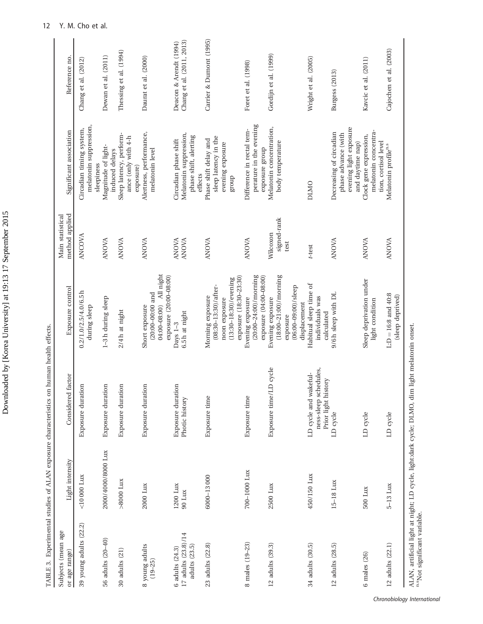|                                                         |                              | TABLE 3. Experimental studies of ALAN exposure characteristics on human health effects. |                                                                                                                      |                                    |                                                                                              |                                                     |
|---------------------------------------------------------|------------------------------|-----------------------------------------------------------------------------------------|----------------------------------------------------------------------------------------------------------------------|------------------------------------|----------------------------------------------------------------------------------------------|-----------------------------------------------------|
| Subjects (mean age<br>or age range)                     | Light intensity              | factor<br>Considered                                                                    | Exposure control                                                                                                     | method applied<br>Main statistical | Significant association                                                                      | Reference no.                                       |
| 39 young adults (22.2)                                  | $<$ 10000 Lux                | Exposure duration                                                                       | 0.2/1.0/2.5/4.0/6.5h<br>during sleep                                                                                 | <b>ANCOVA</b>                      | melatonin suppression,<br>Circadian timing system,<br>sleepiness                             | Chang et al. (2012)                                 |
| $56$ adults $(20-40)$                                   | 2000/4000/8000 Lux           | Exposure duration                                                                       | 1-3 h during sleep                                                                                                   | <b>ANOVA</b>                       | Magnitude of light-<br>induced delays                                                        | Dewan et al. (2011)                                 |
| 30 adults (21)                                          | $>8000$ Lux                  | Exposure duration                                                                       | 2/4h at night                                                                                                        | <b>ANOVA</b>                       | Sleep latency, perform-<br>ance (only with 4-h<br>exposure)                                  | Thessing et al. (1994)                              |
| 8 young adults<br>$(19 - 25)$                           | 2000 Lux                     | Exposure duration                                                                       | All night<br>exposure (20:00-08:00)<br>$(20:00-00:00$ and<br>$04:00 - 08:00$<br>Short exposure                       | <b>ANOVA</b>                       | Alertness, performance,<br>melatonin level                                                   | Daurat et al. (2000)                                |
| 17 adults (23.8)/14<br>adults (23.5)<br>6 adults (24.3) | 1200 Lux<br>$90 \; \rm{Lux}$ | Exposure duration<br>Photic history                                                     | 6.5h at night<br>Days $1-3$                                                                                          | <b>ANOVA</b><br><b>ANOVA</b>       | Melatonin suppression,<br>phase shift, alerting<br>Circadian phase shift<br>effects          | Chang et al. (2011, 2013)<br>Deacon & Arendt (1994) |
| 23 adults (22.8)                                        | 6000-13000                   | Exposure time                                                                           | exposure (18:30-23:30)<br>$(13:30-18:30)/$ evening<br>$(08:30 - 13:30) / after$<br>Morning exposure<br>noon exposure | <b>ANOVA</b>                       | sleep latency in the<br>Phase shift delay and<br>evening exposure<br>dno.fa                  | Carrier & Dumont (1995)                             |
| 8 males (19-23)                                         | 700-1000 Lux                 | Exposure time                                                                           | $(20:00 - 24:00)$ /morning<br>exposure (04:00-08:00)<br>Evening exposure                                             | <b>ANOVA</b>                       | perature in the evening<br>Difference in rectal tem-<br>exposure group                       | Foret et al. (1998)                                 |
| 12 adults (39.3)                                        | 2500 Lux                     | Exposure time/LD cycle                                                                  | $(18:00 - 21:00)$ /morning<br>$(06:00-09:00)/sleep$<br>Evening exposure<br>displacement<br>exposure                  | signed-rank<br>Wilcoxon<br>test    | Melatonin concentration,<br>body temperature                                                 | Gordijn et al. (1999)                               |
| 34 adults (30.5)                                        | 450/150 Lux                  | ness-sleep schedules,<br>LD cycle and wakeful-<br>Prior light history                   | Habitual sleep time of<br>individuals was<br>calculated                                                              | t-test                             | DIMO                                                                                         | Wright et al. (2005)                                |
| 12 adults (28.5)                                        | 15-18 Lux                    | LD cycle                                                                                | 9/6 h sleep with DL                                                                                                  | <b>ANOVA</b>                       | evening light exposure<br>Decreasing of circadian<br>phase advance (with<br>and daytime nap) | Burgess (2013)                                      |
| 6 males (26)                                            | 500 Lux                      | LD cycle                                                                                | Sleep deprivation under<br>light condition                                                                           | <b>ANOVA</b>                       | melatonin concentra-<br>Clock gene expression,<br>tion, cortisol level                       | Kavcic et al. (2011)                                |
| 12 adults (22.1)                                        | 5-13 Lux                     | LD cycle                                                                                | $L.D = 16:8$ and 40:8<br>(sleep deprived)                                                                            | <b>ANOVA</b>                       | Melatonin profile <sup>n.s</sup>                                                             | Cajochen et al. (2003)                              |

 $\rm{ALAN},$ artificial light at night; LD cycle, light:dark cycle; DLMO, dim light melatonin onset. <br>"Not significant variable. ALAN, artificial light at night; LD cycle, light:dark cycle; DLMO, dim light melatonin onset.

n.sNot significant variable.

Downloaded by [Korea University] at 19:13 17 September 2015

Downloaded by [Korea University] at 19:13 17 September 2015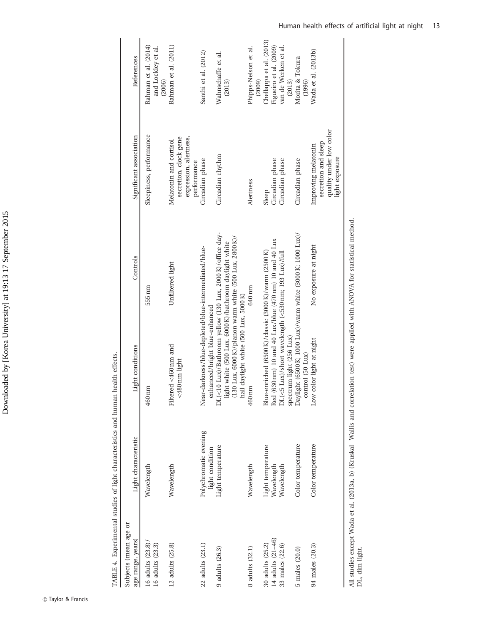TABLE 4. Experimental studies of light characteristics and human health effects. TABLE 4. Experimental studies of light characteristics and human health effects.

|                                            | "Channel Transportational Channel Control of the company of the company of the control of the control of the control of the control of the control of the control of the control of the control of the control of the control |                                          |                                                                                                                                                                              |                                                                                          |                                                      |
|--------------------------------------------|-------------------------------------------------------------------------------------------------------------------------------------------------------------------------------------------------------------------------------|------------------------------------------|------------------------------------------------------------------------------------------------------------------------------------------------------------------------------|------------------------------------------------------------------------------------------|------------------------------------------------------|
| Subjects (mean age or<br>age range, years) | Light characteristic                                                                                                                                                                                                          | Light conditions                         | Controls                                                                                                                                                                     | Significant association                                                                  | References                                           |
| 16 adults (23.8)<br>16 adults (23.3)       | Wavelength                                                                                                                                                                                                                    | 460 nm                                   | 555 nm                                                                                                                                                                       | Sleepiness, performance                                                                  | Rahman et al. (2014)<br>and Lockley et al.<br>(2006) |
| 12 adults (25.8)                           | Wavelength                                                                                                                                                                                                                    | Filtered <460 nm and<br>$<$ 480 nm light | Unfiltered light                                                                                                                                                             | secretion, clock gene<br>expression, alertness,<br>Melatonin and cortisol<br>performance | Rahman et al. (2011)                                 |
| 22 adults (23.1)                           | Polychromatic evening<br>light condition                                                                                                                                                                                      | enhanced/bright blue-enhanced            | Near-darkness/blue-depleted/blue-intermediated/blue-                                                                                                                         | Circadian phase                                                                          | Santhi et al. (2012)                                 |
| $9$ adults $(26.3)$                        | Light temperature                                                                                                                                                                                                             | hall daylight white (500 Lux, 5000 K)    | DL(<10 Lux)/Bathroom yellow (130 Lux, 2000 K)/office day-<br>(130 Lux, 6000 K)/planon warm white (500 Lux, 2800 K)/<br>light white (500 Lux, 6000 K)/bathroom daylight white | Circadian rhythm                                                                         | Wahnschaffe et al.<br>(2013)                         |
| 8 adults (32.1)                            | Wavelength                                                                                                                                                                                                                    | 460 nm                                   | 640 nm                                                                                                                                                                       | <b>Alertness</b>                                                                         | Phipps-Nelson et al.                                 |

> All studies except Wada et al. (2013a, b) (Kruskal–Wallis and correlation test) were applied with ANOVA for statistical method.<br>DL, dim light. Wallis and correlation test) were applied with ANOVA for statistical method. All studies except Wada et al. ([2013a](#page-17-0), [b\)](#page-17-0) (Kruskal-DL, dim light.

[\(2009](#page-16-0))<br>Chellappa et al. (2013)<br>Figueiro et al. (2009)

Circadian phase van de Werken et al.

Sleep<br>Circadian phase Circadian phase Circadian phase

Circadian phase Morita & Tokura

secretion and sleep quality under low color light exposure

quality under low color<br>light exposure secretion and sleep Improving melatonin

[\(2013](#page-17-0))

Morita & Tokura

van de Werken et al.

[\(1996](#page-16-0))

Wada et al. ([2013b\)](#page-17-0)

Wada et al. (2013b)

30 adults (25.2) Light temperature Blue-enriched (6500 K)/classic (3000 K)/warm (2500 K) Sleep Chellappa et al. [\(2013](#page-15-0)) 14 adults (21–46) Wavelength Red (630 nm) 10 and 40 Lux/blue (470 nm) 10 and 40 Lux Circadian phase Figueiro et al. ([2009](#page-15-0))

Blue-enriched (6500 K)/classic (3000 K)/warm (2500 K)

Red (630 nm) 10 and 40 Lux/blue (470 nm) 10 and 40 Lux

 $\mathrm{DL}(\leq\!5$  Lux)/short wavelength  $(<\!530$  nm; 193 Lux)/full

33 males (22.6) Wavelength DL(55 Lux)/short wavelength (5530 nm; 193 Lux)/full

Light temperature<br>Wavelength<br>Wavelength

14 adults  $(21-46)$ <br>33 males  $(22.6)$  $30$  adults  $\left( 25.2\right)$ 

spectrum light (256 Lux)

spectrum light (256 Lux)

Daylight (6500 K; 1000 Lux)/warm white (3000 K; 1000 Lux)/

5 males (20.0) Color temperature Daylight (6500 K; 1000 Lux)/warm white (3000 K; 1000 Lux)/

Color temperature

control (50 Lux)

94 males (20.3) Color temperature Low color light at night Intervalse No exposure at night Improving melatonin

Low color light at night control (50 Lux)

Color temperature

94 males (20.3)

5 males (20.0)

No exposure at night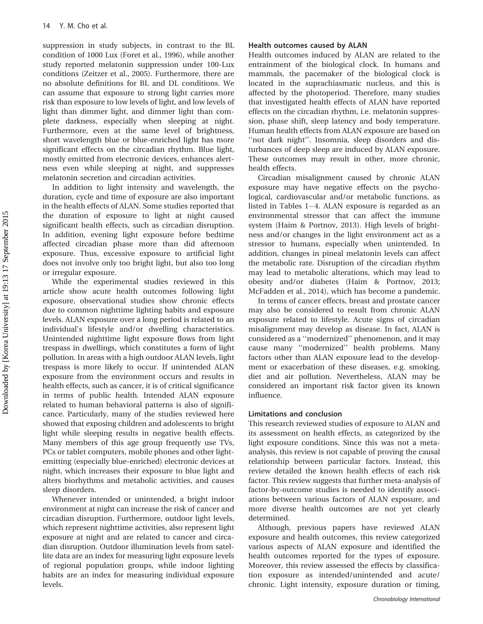suppression in study subjects, in contrast to the BL condition of 1000 Lux (Foret et al., [1996](#page-15-0)), while another study reported melatonin suppression under 100-Lux conditions (Zeitzer et al., [2005\)](#page-17-0). Furthermore, there are no absolute definitions for BL and DL conditions. We can assume that exposure to strong light carries more risk than exposure to low levels of light, and low levels of light than dimmer light, and dimmer light than complete darkness, especially when sleeping at night. Furthermore, even at the same level of brightness, short wavelength blue or blue-enriched light has more significant effects on the circadian rhythm. Blue light, mostly emitted from electronic devices, enhances alertness even while sleeping at night, and suppresses melatonin secretion and circadian activities.

In addition to light intensity and wavelength, the duration, cycle and time of exposure are also important in the health effects of ALAN. Some studies reported that the duration of exposure to light at night caused significant health effects, such as circadian disruption. In addition, evening light exposure before bedtime affected circadian phase more than did afternoon exposure. Thus, excessive exposure to artificial light does not involve only too bright light, but also too long or irregular exposure.

While the experimental studies reviewed in this article show acute health outcomes following light exposure, observational studies show chronic effects due to common nighttime lighting habits and exposure levels. ALAN exposure over a long period is related to an individual's lifestyle and/or dwelling characteristics. Unintended nighttime light exposure flows from light trespass in dwellings, which constitutes a form of light pollution. In areas with a high outdoor ALAN levels, light trespass is more likely to occur. If unintended ALAN exposure from the environment occurs and results in health effects, such as cancer, it is of critical significance in terms of public health. Intended ALAN exposure related to human behavioral patterns is also of significance. Particularly, many of the studies reviewed here showed that exposing children and adolescents to bright light while sleeping results in negative health effects. Many members of this age group frequently use TVs, PCs or tablet computers, mobile phones and other lightemitting (especially blue-enriched) electronic devices at night, which increases their exposure to blue light and alters biorhythms and metabolic activities, and causes sleep disorders.

Whenever intended or unintended, a bright indoor environment at night can increase the risk of cancer and circadian disruption. Furthermore, outdoor light levels, which represent nighttime activities, also represent light exposure at night and are related to cancer and circadian disruption. Outdoor illumination levels from satellite data are an index for measuring light exposure levels of regional population groups, while indoor lighting habits are an index for measuring individual exposure levels.

### Health outcomes caused by ALAN

Health outcomes induced by ALAN are related to the entrainment of the biological clock. In humans and mammals, the pacemaker of the biological clock is located in the suprachiasmatic nucleus, and this is affected by the photoperiod. Therefore, many studies that investigated health effects of ALAN have reported effects on the circadian rhythm, i.e. melatonin suppression, phase shift, sleep latency and body temperature. Human health effects from ALAN exposure are based on "not dark night". Insomnia, sleep disorders and disturbances of deep sleep are induced by ALAN exposure. These outcomes may result in other, more chronic, health effects.

Circadian misalignment caused by chronic ALAN exposure may have negative effects on the psychological, cardiovascular and/or metabolic functions, as listed in [Tables 1](#page-6-0)-[4](#page-6-0). ALAN exposure is regarded as an environmental stressor that can affect the immune system (Haim & Portnov, [2013\)](#page-16-0). High levels of brightness and/or changes in the light environment act as a stressor to humans, especially when unintended. In addition, changes in pineal melatonin levels can affect the metabolic rate. Disruption of the circadian rhythm may lead to metabolic alterations, which may lead to obesity and/or diabetes (Haim & Portnov, [2013](#page-16-0); McFadden et al., [2014](#page-16-0)), which has become a pandemic.

In terms of cancer effects, breast and prostate cancer may also be considered to result from chronic ALAN exposure related to lifestyle. Acute signs of circadian misalignment may develop as disease. In fact, ALAN is considered as a ''modernized'' phenomenon, and it may cause many ''modernized'' health problems. Many factors other than ALAN exposure lead to the development or exacerbation of these diseases, e.g. smoking, diet and air pollution. Nevertheless, ALAN may be considered an important risk factor given its known influence.

### Limitations and conclusion

This research reviewed studies of exposure to ALAN and its assessment on health effects, as categorized by the light exposure conditions. Since this was not a metaanalysis, this review is not capable of proving the causal relationship between particular factors. Instead, this review detailed the known health effects of each risk factor. This review suggests that further meta-analysis of factor-by-outcome studies is needed to identify associations between various factors of ALAN exposure, and more diverse health outcomes are not yet clearly determined.

Although, previous papers have reviewed ALAN exposure and health outcomes, this review categorized various aspects of ALAN exposure and identified the health outcomes reported for the types of exposure. Moreover, this review assessed the effects by classification exposure as intended/unintended and acute/ chronic. Light intensity, exposure duration or timing,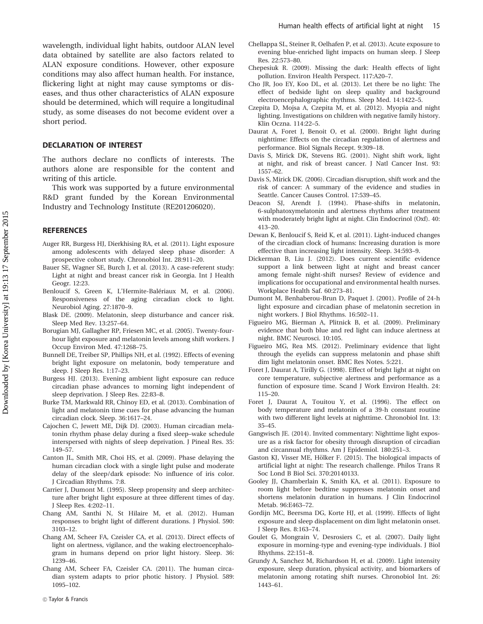<span id="page-15-0"></span>wavelength, individual light habits, outdoor ALAN level data obtained by satellite are also factors related to ALAN exposure conditions. However, other exposure conditions may also affect human health. For instance, flickering light at night may cause symptoms or diseases, and thus other characteristics of ALAN exposure should be determined, which will require a longitudinal study, as some diseases do not become evident over a short period.

### DECLARATION OF INTEREST

The authors declare no conflicts of interests. The authors alone are responsible for the content and writing of this article.

This work was supported by a future environmental R&D grant funded by the Korean Environmental Industry and Technology Institute (RE201206020).

### **REFERENCES**

- Auger RR, Burgess HJ, Dierkhising RA, et al. (2011). Light exposure among adolescents with delayed sleep phase disorder: A prospective cohort study. Chronobiol Int. 28:911–20.
- Bauer SE, Wagner SE, Burch J, et al. (2013). A case-referent study: Light at night and breast cancer risk in Georgia. Int J Health Geogr. 12:23.
- Benloucif S, Green K, L'Hermite-Balériaux M, et al. (2006). Responsiveness of the aging circadian clock to light. Neurobiol Aging. 27:1870–9.
- Blask DE. (2009). Melatonin, sleep disturbance and cancer risk. Sleep Med Rev. 13:257–64.
- Borugian MJ, Gallagher RP, Friesen MC, et al. (2005). Twenty-fourhour light exposure and melatonin levels among shift workers. J Occup Environ Med. 47:1268–75.
- Bunnell DE, Treiber SP, Phillips NH, et al. (1992). Effects of evening bright light exposure on melatonin, body temperature and sleep. J Sleep Res. 1:17–23.
- Burgess HJ. (2013). Evening ambient light exposure can reduce circadian phase advances to morning light independent of sleep deprivation. J Sleep Res. 22:83–8.
- Burke TM, Markwald RR, Chinoy ED, et al. (2013). Combination of light and melatonin time cues for phase advancing the human circadian clock. Sleep. 36:1617–24.
- Cajochen C, Jewett ME, Dijk DJ. (2003). Human circadian melatonin rhythm phase delay during a fixed sleep–wake schedule interspersed with nights of sleep deprivation. J Pineal Res. 35: 149–57.
- Canton JL, Smith MR, Choi HS, et al. (2009). Phase delaying the human circadian clock with a single light pulse and moderate delay of the sleep/dark episode: No influence of iris color. J Circadian Rhythms. 7:8.
- Carrier J, Dumont M. (1995). Sleep propensity and sleep architecture after bright light exposure at three different times of day. J Sleep Res. 4:202–11.
- Chang AM, Santhi N, St Hilaire M, et al. (2012). Human responses to bright light of different durations. J Physiol. 590: 3103–12.
- Chang AM, Scheer FA, Czeisler CA, et al. (2013). Direct effects of light on alertness, vigilance, and the waking electroencephalogram in humans depend on prior light history. Sleep. 36: 1239–46.
- Chang AM, Scheer FA, Czeisler CA. (2011). The human circadian system adapts to prior photic history. J Physiol. 589: 1095–102.
- Chellappa SL, Steiner R, Oelhafen P, et al. (2013). Acute exposure to evening blue-enriched light impacts on human sleep. J Sleep Res. 22:573–80.
- Chepesiuk R. (2009). Missing the dark: Health effects of light pollution. Environ Health Perspect. 117:A20–7.
- Cho JR, Joo EY, Koo DL, et al. (2013). Let there be no light: The effect of bedside light on sleep quality and background electroencephalographic rhythms. Sleep Med. 14:1422–5.
- Czepita D, Mojsa A, Czepita M, et al. (2012). Myopia and night lighting. Investigations on children with negative family history. Klin Oczna. 114:22–5.
- Daurat A, Foret J, Benoit O, et al. (2000). Bright light during nighttime: Effects on the circadian regulation of alertness and performance. Biol Signals Recept. 9:309–18.
- Davis S, Mirick DK, Stevens RG. (2001). Night shift work, light at night, and risk of breast cancer. J Natl Cancer Inst. 93: 1557–62.
- Davis S, Mirick DK. (2006). Circadian disruption, shift work and the risk of cancer: A summary of the evidence and studies in Seattle. Cancer Causes Control. 17:539–45.
- Deacon SJ, Arendt J. (1994). Phase-shifts in melatonin, 6-sulphatoxymelatonin and alertness rhythms after treatment with moderately bright light at night. Clin Endocrinol (Oxf). 40: 413–20.
- Dewan K, Benloucif S, Reid K, et al. (2011). Light-induced changes of the circadian clock of humans: Increasing duration is more effective than increasing light intensity. Sleep. 34:593–9.
- Dickerman B, Liu J. (2012). Does current scientific evidence support a link between light at night and breast cancer among female night-shift nurses? Review of evidence and implications for occupational and environmental health nurses. Workplace Health Saf. 60:273–81.
- Dumont M, Benhaberou-Brun D, Paquet J. (2001). Profile of 24-h light exposure and circadian phase of melatonin secretion in night workers. J Biol Rhythms. 16:502–11.
- Figueiro MG, Bierman A, Plitnick B, et al. (2009). Preliminary evidence that both blue and red light can induce alertness at night. BMC Neurosci. 10:105.
- Figueiro MG, Rea MS. (2012). Preliminary evidence that light through the eyelids can suppress melatonin and phase shift dim light melatonin onset. BMC Res Notes. 5:221.
- Foret J, Daurat A, Tirilly G. (1998). Effect of bright light at night on core temperature, subjective alertness and performance as a function of exposure time. Scand J Work Environ Health. 24: 115–20.
- Foret J, Daurat A, Touitou Y, et al. (1996). The effect on body temperature and melatonin of a 39-h constant routine with two different light levels at nighttime. Chronobiol Int. 13: 35–45.
- Gangwisch JE. (2014). Invited commentary: Nighttime light exposure as a risk factor for obesity through disruption of circadian and circannual rhythms. Am J Epidemiol. 180:251–3.
- Gaston KJ, Visser ME, Hölker F. (2015). The biological impacts of artificial light at night: The research challenge. Philos Trans R Soc Lond B Biol Sci. 370:20140133.
- Gooley JJ, Chamberlain K, Smith KA, et al. (2011). Exposure to room light before bedtime suppresses melatonin onset and shortens melatonin duration in humans. J Clin Endocrinol Metab. 96:E463–72.
- Gordijn MC, Beersma DG, Korte HJ, et al. (1999). Effects of light exposure and sleep displacement on dim light melatonin onset. J Sleep Res. 8:163–74.
- Goulet G, Mongrain V, Desrosiers C, et al. (2007). Daily light exposure in morning-type and evening-type individuals. J Biol Rhythms. 22:151–8.
- Grundy A, Sanchez M, Richardson H, et al. (2009). Light intensity exposure, sleep duration, physical activity, and biomarkers of melatonin among rotating shift nurses. Chronobiol Int. 26: 1443–61.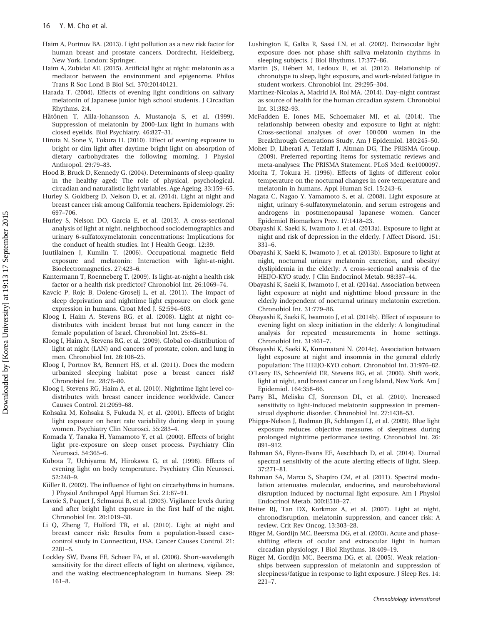- <span id="page-16-0"></span>Haim A, Portnov BA. (2013). Light pollution as a new risk factor for human breast and prostate cancers. Dordrecht, Heidelberg, New York, London: Springer.
- Haim A, Zubidat AE. (2015). Artificial light at night: melatonin as a mediator between the environment and epigenome. Philos Trans R Soc Lond B Biol Sci. 370:20140121.
- Harada T. (2004). Effects of evening light conditions on salivary melatonin of Japanese junior high school students. J Circadian Rhythms. 2:4.
- Hätönen T, Alila-Johansson A, Mustanoja S, et al. (1999). Suppression of melatonin by 2000-Lux light in humans with closed eyelids. Biol Psychiatry. 46:827–31.
- Hirota N, Sone Y, Tokura H. (2010). Effect of evening exposure to bright or dim light after daytime bright light on absorption of dietary carbohydrates the following morning. J Physiol Anthropol. 29:79–83.
- Hood B, Bruck D, Kennedy G. (2004). Determinants of sleep quality in the healthy aged: The role of physical, psychological, circadian and naturalistic light variables. Age Ageing. 33:159–65.
- Hurley S, Goldberg D, Nelson D, et al. (2014). Light at night and breast cancer risk among California teachers. Epidemiology. 25: 697–706.
- Hurley S, Nelson DO, Garcia E, et al. (2013). A cross-sectional analysis of light at night, neighborhood sociodemographics and urinary 6-sulfatoxymelatonin concentrations: Implications for the conduct of health studies. Int J Health Geogr. 12:39.
- Juutilainen J, Kumlin T. (2006). Occupational magnetic field exposure and melatonin: Interaction with light-at-night. Bioelectromagnetics. 27:423–6.
- Kantermann T, Roenneberg T. (2009). Is light-at-night a health risk factor or a health risk predictor? Chronobiol Int. 26:1069–74.
- Kavcic P, Rojc B, Dolenc-Groselj L, et al. (2011). The impact of sleep deprivation and nighttime light exposure on clock gene expression in humans. Croat Med J. 52:594–603.
- Kloog I, Haim A, Stevens RG, et al. (2008). Light at night codistributes with incident breast but not lung cancer in the female population of Israel. Chronobiol Int. 25:65–81.
- Kloog I, Haim A, Stevens RG, et al. (2009). Global co-distribution of light at night (LAN) and cancers of prostate, colon, and lung in men. Chronobiol Int. 26:108–25.
- Kloog I, Portnov BA, Rennert HS, et al. (2011). Does the modern urbanized sleeping habitat pose a breast cancer risk? Chronobiol Int. 28:76–80.
- Kloog I, Stevens RG, Haim A, et al. (2010). Nighttime light level codistributes with breast cancer incidence worldwide. Cancer Causes Control. 21:2059–68.
- Kohsaka M, Kohsaka S, Fukuda N, et al. (2001). Effects of bright light exposure on heart rate variability during sleep in young women. Psychiatry Clin Neurosci. 55:283–4.
- Komada Y, Tanaka H, Yamamoto Y, et al. (2000). Effects of bright light pre-exposure on sleep onset process. Psychiatry Clin Neurosci. 54:365–6.
- Kubota T, Uchiyama M, Hirokawa G, et al. (1998). Effects of evening light on body temperature. Psychiatry Clin Neurosci. 52:248–9.
- Küller R. (2002). The influence of light on circarhythms in humans. J Physiol Anthropol Appl Human Sci. 21:87–91.
- Lavoie S, Paquet J, Selmaoui B, et al. (2003). Vigilance levels during and after bright light exposure in the first half of the night. Chronobiol Int. 20:1019–38.
- Li Q, Zheng T, Holford TR, et al. (2010). Light at night and breast cancer risk: Results from a population-based casecontrol study in Connecticut, USA. Cancer Causes Control. 21: 2281–5.
- Lockley SW, Evans EE, Scheer FA, et al. (2006). Short-wavelength sensitivity for the direct effects of light on alertness, vigilance, and the waking electroencephalogram in humans. Sleep. 29: 161–8.
- Lushington K, Galka R, Sassi LN, et al. (2002). Extraocular light exposure does not phase shift saliva melatonin rhythms in sleeping subjects. J Biol Rhythms. 17:377–86.
- Martin JS, Hébert M, Ledoux E, et al. (2012). Relationship of chronotype to sleep, light exposure, and work-related fatigue in student workers. Chronobiol Int. 29:295–304.
- Martinez-Nicolas A, Madrid JA, Rol MA. (2014). Day–night contrast as source of health for the human circadian system. Chronobiol Int. 31:382–93.
- McFadden E, Jones ME, Schoemaker MJ, et al. (2014). The relationship between obesity and exposure to light at night: Cross-sectional analyses of over 100 000 women in the Breakthrough Generations Study. Am J Epidemiol. 180:245–50.
- Moher D, Liberati A, Tetzlaff J, Altman DG, The PRISMA Group. (2009). Preferred reporting items for systematic reviews and meta-analyses: The PRISMA Statement. PLoS Med. 6:e1000097.
- Morita T, Tokura H. (1996). Effects of lights of different color temperature on the nocturnal changes in core temperature and melatonin in humans. Appl Human Sci. 15:243–6.
- Nagata C, Nagao Y, Yamamoto S, et al. (2008). Light exposure at night, urinary 6-sulfatoxymelatonin, and serum estrogens and androgens in postmenopausal Japanese women. Cancer Epidemiol Biomarkers Prev. 17:1418–23.
- Obayashi K, Saeki K, Iwamoto J, et al. (2013a). Exposure to light at night and risk of depression in the elderly. J Affect Disord. 151: 331–6.
- Obayashi K, Saeki K, Iwamoto J, et al. (2013b). Exposure to light at night, nocturnal urinary melatonin excretion, and obesity/ dyslipidemia in the elderly: A cross-sectional analysis of the HEIJO-KYO study. J Clin Endocrinol Metab. 98:337–44.
- Obayashi K, Saeki K, Iwamoto J, et al. (2014a). Association between light exposure at night and nighttime blood pressure in the elderly independent of nocturnal urinary melatonin excretion. Chronobiol Int. 31:779–86.
- Obayashi K, Saeki K, Iwamoto J, et al. (2014b). Effect of exposure to evening light on sleep initiation in the elderly: A longitudinal analysis for repeated measurements in home settings. Chronobiol Int. 31:461–7.
- Obayashi K, Saeki K, Kurumatani N. (2014c). Association between light exposure at night and insomnia in the general elderly population: The HEIJO-KYO cohort. Chronobiol Int. 31:976–82.
- O'Leary ES, Schoenfeld ER, Stevens RG, et al. (2006). Shift work, light at night, and breast cancer on Long Island, New York. Am J Epidemiol. 164:358–66.
- Parry BL, Meliska CJ, Sorenson DL, et al. (2010). Increased sensitivity to light-induced melatonin suppression in premenstrual dysphoric disorder. Chronobiol Int. 27:1438–53.
- Phipps-Nelson J, Redman JR, Schlangen LJ, et al. (2009). Blue light exposure reduces objective measures of sleepiness during prolonged nighttime performance testing. Chronobiol Int. 26: 891–912.
- Rahman SA, Flynn-Evans EE, Aeschbach D, et al. (2014). Diurnal spectral sensitivity of the acute alerting effects of light. Sleep. 37:271–81.
- Rahman SA, Marcu S, Shapiro CM, et al. (2011). Spectral modulation attenuates molecular, endocrine, and neurobehavioral disruption induced by nocturnal light exposure. Am J Physiol Endocrinol Metab. 300:E518–27.
- Reiter RJ, Tan DX, Korkmaz A, et al. (2007). Light at night, chronodisruption, melatonin suppression, and cancer risk: A review. Crit Rev Oncog. 13:303–28.
- Rüger M, Gordijn MC, Beersma DG, et al. (2003). Acute and phaseshifting effects of ocular and extraocular light in human circadian physiology. J Biol Rhythms. 18:409–19.
- Rüger M, Gordijn MC, Beersma DG, et al. (2005). Weak relationships between suppression of melatonin and suppression of sleepiness/fatigue in response to light exposure. J Sleep Res. 14: 221–7.